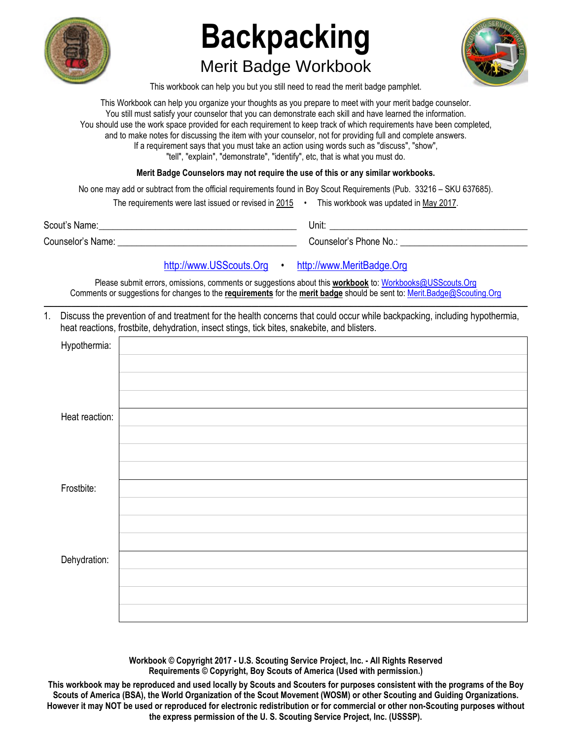

# **Backpacking**  Merit Badge Workbook



This workbook can help you but you still need to read the merit badge pamphlet.

This Workbook can help you organize your thoughts as you prepare to meet with your merit badge counselor. You still must satisfy your counselor that you can demonstrate each skill and have learned the information. You should use the work space provided for each requirement to keep track of which requirements have been completed, and to make notes for discussing the item with your counselor, not for providing full and complete answers. If a requirement says that you must take an action using words such as "discuss", "show", "tell", "explain", "demonstrate", "identify", etc, that is what you must do.

**Merit Badge Counselors may not require the use of this or any similar workbooks.**

No one may add or subtract from the official requirements found in Boy Scout Requirements (Pub. 33216 – SKU 637685).

| The requirements were last issued or revised in 2015 |  | This workbook was updated in May 2017. |
|------------------------------------------------------|--|----------------------------------------|
|------------------------------------------------------|--|----------------------------------------|

| Scout's Name:     | Unit:                  |
|-------------------|------------------------|
| Counselor's Name: | Counselor's Phone No.: |

### [http://www.USScouts.Org](http://www.usscouts.org/) • [http://www.MeritBadge.Org](http://www.meritbadge.org/)

Please submit errors, omissions, comments or suggestions about this **workbook** to: [Workbooks@USScouts.Org](mailto:Workbooks@usscouts.org?subject=Merit%20Badge%20Workbooks) Comments or suggestions for changes to the **requirements** for the **merit badge** should be sent to: [Merit.Badge@Scouting.Org](mailto:merit.badge@scouting.org) *\_\_\_\_\_\_\_\_\_\_\_\_\_\_\_\_\_\_\_\_\_\_\_\_\_\_\_\_\_\_\_\_\_\_\_\_\_\_\_\_\_\_\_\_\_\_\_\_\_\_\_\_\_\_\_\_\_\_\_\_\_\_\_\_\_\_\_\_\_\_\_\_\_\_\_\_\_\_\_\_\_\_\_\_\_\_\_\_\_\_\_\_\_\_\_\_\_\_\_\_\_\_\_\_\_\_\_\_\_\_\_\_\_\_\_\_\_\_\_\_\_\_\_\_\_\_\_\_\_\_\_\_\_\_\_\_\_\_\_\_\_\_* 

1. Discuss the prevention of and treatment for the health concerns that could occur while backpacking, including hypothermia, heat reactions, frostbite, dehydration, insect stings, tick bites, snakebite, and blisters.

| Hypothermia:   |  |
|----------------|--|
|                |  |
|                |  |
|                |  |
| Heat reaction: |  |
|                |  |
|                |  |
|                |  |
| Frostbite:     |  |
|                |  |
|                |  |
|                |  |
| Dehydration:   |  |
|                |  |
|                |  |
|                |  |

**Workbook © Copyright 2017 - U.S. Scouting Service Project, Inc. - All Rights Reserved Requirements © Copyright, Boy Scouts of America (Used with permission.)** 

**This workbook may be reproduced and used locally by Scouts and Scouters for purposes consistent with the programs of the Boy Scouts of America (BSA), the World Organization of the Scout Movement (WOSM) or other Scouting and Guiding Organizations. However it may NOT be used or reproduced for electronic redistribution or for commercial or other non-Scouting purposes without the express permission of the U. S. Scouting Service Project, Inc. (USSSP).**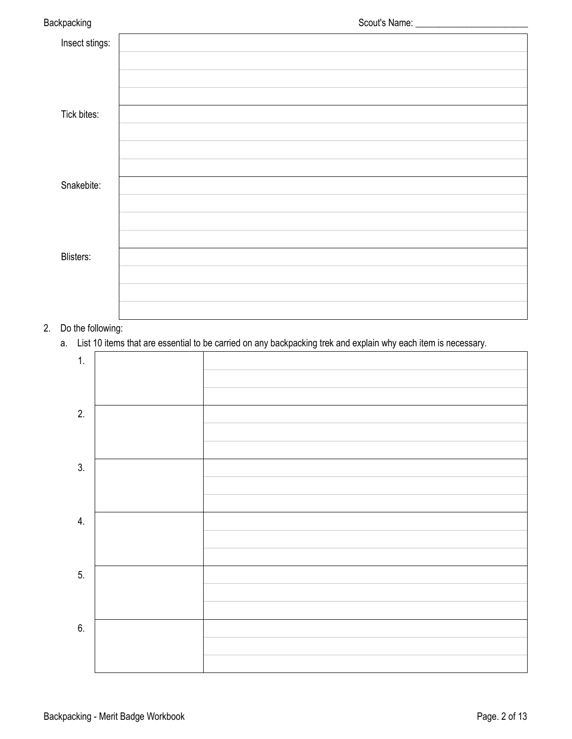| Backpacking    |  |
|----------------|--|
| Insect stings: |  |
|                |  |
|                |  |
| Tick bites:    |  |
|                |  |
|                |  |
| Snakebite:     |  |
|                |  |
|                |  |
| Blisters:      |  |
|                |  |
|                |  |

### 2. Do the following:

a. List 10 items that are essential to be carried on any backpacking trek and explain why each item is necessary.

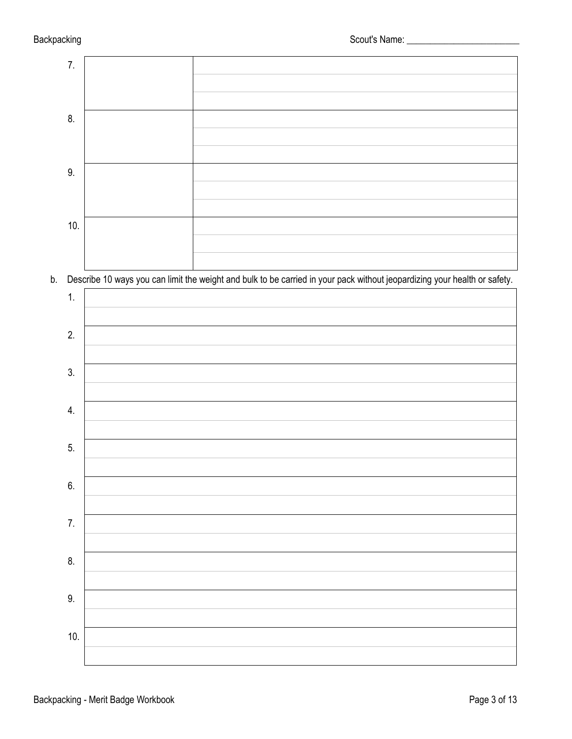

b. Describe 10 ways you can limit the weight and bulk to be carried in your pack without jeopardizing your health or safety.

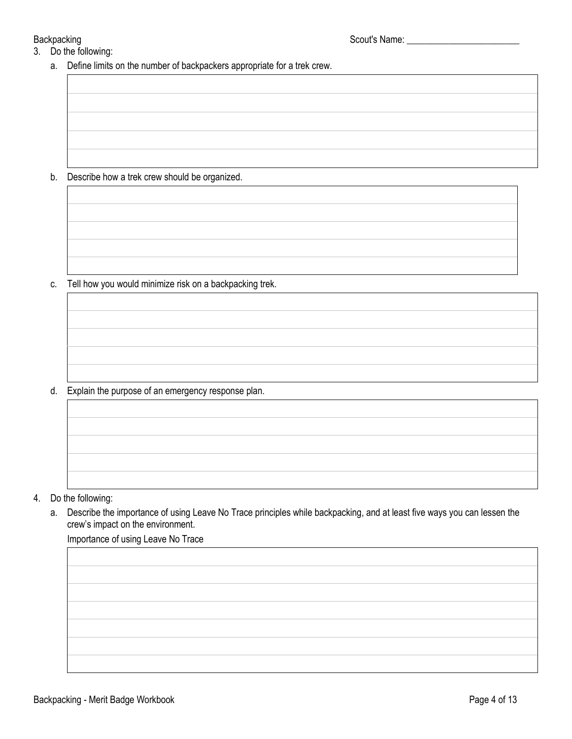- 3. Do the following:
	- a. Define limits on the number of backpackers appropriate for a trek crew.

b. Describe how a trek crew should be organized.

c. Tell how you would minimize risk on a backpacking trek.

d. Explain the purpose of an emergency response plan.

- 4. Do the following:
	- a. Describe the importance of using Leave No Trace principles while backpacking, and at least five ways you can lessen the crew's impact on the environment.

Importance of using Leave No Trace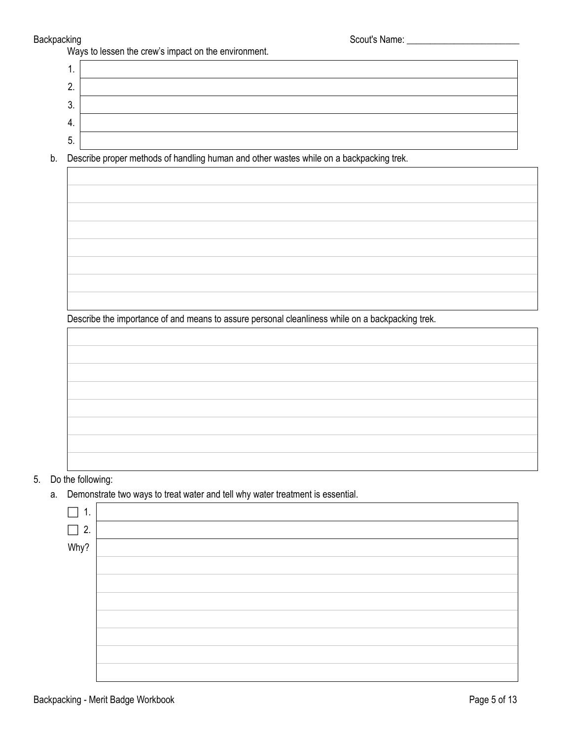Backpacking Scout's Name: \_\_\_\_\_\_\_\_\_\_\_\_\_\_\_\_\_\_\_\_\_\_\_\_

| Ways to lessen the crew's impact on the environment. |
|------------------------------------------------------|
|------------------------------------------------------|

1. 2. 3. 4. 5.

b. Describe proper methods of handling human and other wastes while on a backpacking trek.

Describe the importance of and means to assure personal cleanliness while on a backpacking trek.

### 5. Do the following:

a. Demonstrate two ways to treat water and tell why water treatment is essential.

| ι.        |  |
|-----------|--|
| $\Box$ 2. |  |
| Why?      |  |
|           |  |
|           |  |
|           |  |
|           |  |
|           |  |
|           |  |
|           |  |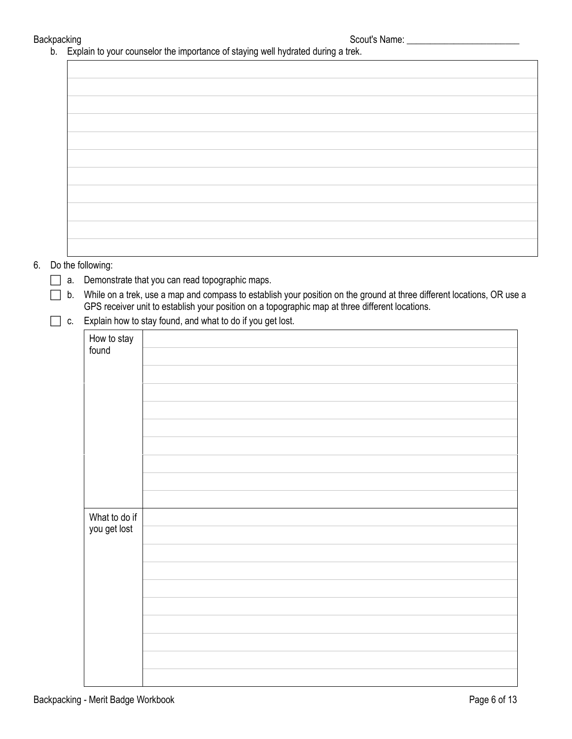Backpacking strategies are set of the Scout's Name: \_\_\_\_\_\_\_\_\_\_\_\_\_\_\_\_\_\_\_\_\_\_\_\_\_\_\_\_

b. Explain to your counselor the importance of staying well hydrated during a trek.

|    |    |                               | . <b>.</b><br>$\overline{\phantom{a}}$<br>$\overline{\phantom{a}}$                                                     |
|----|----|-------------------------------|------------------------------------------------------------------------------------------------------------------------|
|    |    |                               |                                                                                                                        |
|    |    |                               |                                                                                                                        |
|    |    |                               |                                                                                                                        |
|    |    |                               |                                                                                                                        |
|    |    |                               |                                                                                                                        |
|    |    |                               |                                                                                                                        |
|    |    |                               |                                                                                                                        |
|    |    |                               |                                                                                                                        |
|    |    |                               |                                                                                                                        |
|    |    |                               |                                                                                                                        |
|    |    |                               |                                                                                                                        |
|    |    |                               |                                                                                                                        |
|    |    |                               |                                                                                                                        |
|    |    |                               |                                                                                                                        |
|    |    |                               |                                                                                                                        |
| 6. |    | Do the following:             |                                                                                                                        |
|    | a. |                               | Demonstrate that you can read topographic maps.                                                                        |
|    | b. |                               | While on a trek, use a map and compass to establish your position on the ground at three different locations, OR use a |
|    |    |                               | GPS receiver unit to establish your position on a topographic map at three different locations.                        |
|    | C. |                               | Explain how to stay found, and what to do if you get lost.                                                             |
|    |    | How to stay                   |                                                                                                                        |
|    |    | found                         |                                                                                                                        |
|    |    |                               |                                                                                                                        |
|    |    |                               |                                                                                                                        |
|    |    |                               |                                                                                                                        |
|    |    |                               |                                                                                                                        |
|    |    |                               |                                                                                                                        |
|    |    |                               |                                                                                                                        |
|    |    |                               |                                                                                                                        |
|    |    |                               |                                                                                                                        |
|    |    |                               |                                                                                                                        |
|    |    |                               |                                                                                                                        |
|    |    |                               |                                                                                                                        |
|    |    |                               |                                                                                                                        |
|    |    | What to do if<br>you get lost |                                                                                                                        |
|    |    |                               |                                                                                                                        |
|    |    |                               |                                                                                                                        |
|    |    |                               |                                                                                                                        |
|    |    |                               |                                                                                                                        |
|    |    |                               |                                                                                                                        |
|    |    |                               |                                                                                                                        |
|    |    |                               |                                                                                                                        |
|    |    |                               |                                                                                                                        |
|    |    |                               |                                                                                                                        |
|    |    |                               |                                                                                                                        |
|    |    |                               |                                                                                                                        |
|    |    |                               |                                                                                                                        |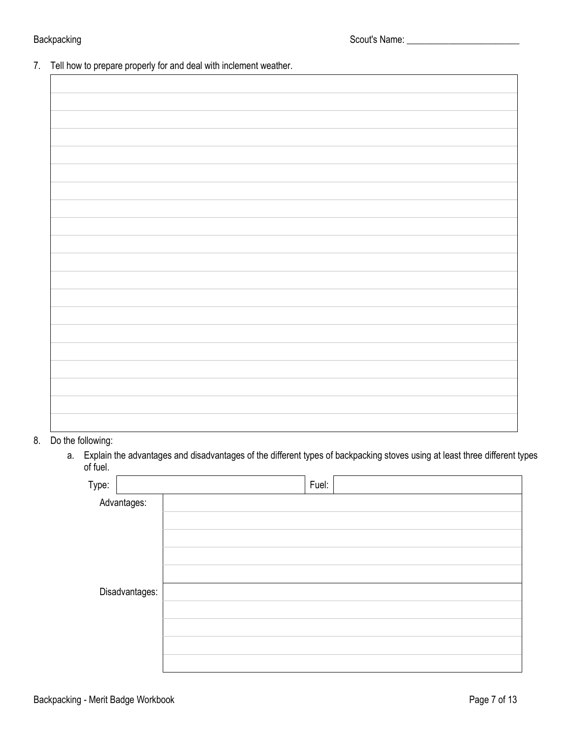7. Tell how to prepare properly for and deal with inclement weather.

8. Do the following:

 a. Explain the advantages and disadvantages of the different types of backpacking stoves using at least three different types of fuel.

| Type:       |                | Fuel: |  |
|-------------|----------------|-------|--|
| Advantages: |                |       |  |
|             |                |       |  |
|             |                |       |  |
|             |                |       |  |
|             |                |       |  |
|             | Disadvantages: |       |  |
|             |                |       |  |
|             |                |       |  |
|             |                |       |  |
|             |                |       |  |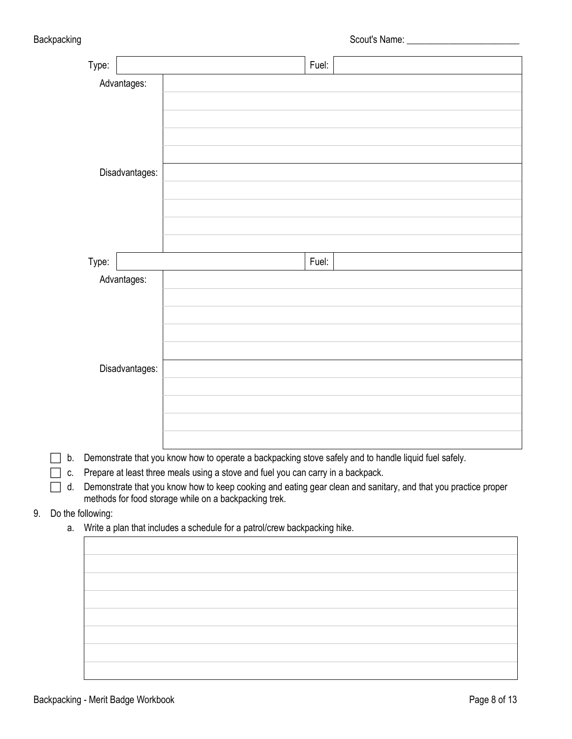|             |                   | Type: |             | Fuel:                                                                                                                                                                                              |
|-------------|-------------------|-------|-------------|----------------------------------------------------------------------------------------------------------------------------------------------------------------------------------------------------|
| Advantages: |                   |       |             |                                                                                                                                                                                                    |
|             | Disadvantages:    |       |             |                                                                                                                                                                                                    |
|             |                   |       |             |                                                                                                                                                                                                    |
|             |                   |       |             |                                                                                                                                                                                                    |
|             |                   |       |             |                                                                                                                                                                                                    |
|             |                   |       |             |                                                                                                                                                                                                    |
|             |                   |       |             |                                                                                                                                                                                                    |
|             |                   |       |             |                                                                                                                                                                                                    |
|             |                   |       |             |                                                                                                                                                                                                    |
|             |                   |       |             |                                                                                                                                                                                                    |
|             |                   | Type: |             | Fuel:                                                                                                                                                                                              |
|             |                   |       | Advantages: |                                                                                                                                                                                                    |
|             |                   |       |             |                                                                                                                                                                                                    |
|             |                   |       |             |                                                                                                                                                                                                    |
|             |                   |       |             |                                                                                                                                                                                                    |
|             |                   |       |             |                                                                                                                                                                                                    |
|             | Disadvantages:    |       |             |                                                                                                                                                                                                    |
|             |                   |       |             |                                                                                                                                                                                                    |
|             |                   |       |             |                                                                                                                                                                                                    |
|             |                   |       |             |                                                                                                                                                                                                    |
|             |                   |       |             |                                                                                                                                                                                                    |
|             | b.                |       |             | Demonstrate that you know how to operate a backpacking stove safely and to handle liquid fuel safely.                                                                                              |
|             | С.<br>d.          |       |             | Prepare at least three meals using a stove and fuel you can carry in a backpack.<br>Demonstrate that you know how to keep cooking and eating gear clean and sanitary, and that you practice proper |
|             |                   |       |             | methods for food storage while on a backpacking trek.                                                                                                                                              |
| 9.          | Do the following: |       |             |                                                                                                                                                                                                    |
|             |                   |       |             | a. Write a plan that includes a schedule for a patrol/crew backpacking hike.                                                                                                                       |
|             |                   |       |             |                                                                                                                                                                                                    |
|             |                   |       |             |                                                                                                                                                                                                    |
|             |                   |       |             |                                                                                                                                                                                                    |
|             |                   |       |             |                                                                                                                                                                                                    |
|             |                   |       |             |                                                                                                                                                                                                    |
|             |                   |       |             |                                                                                                                                                                                                    |
|             |                   |       |             |                                                                                                                                                                                                    |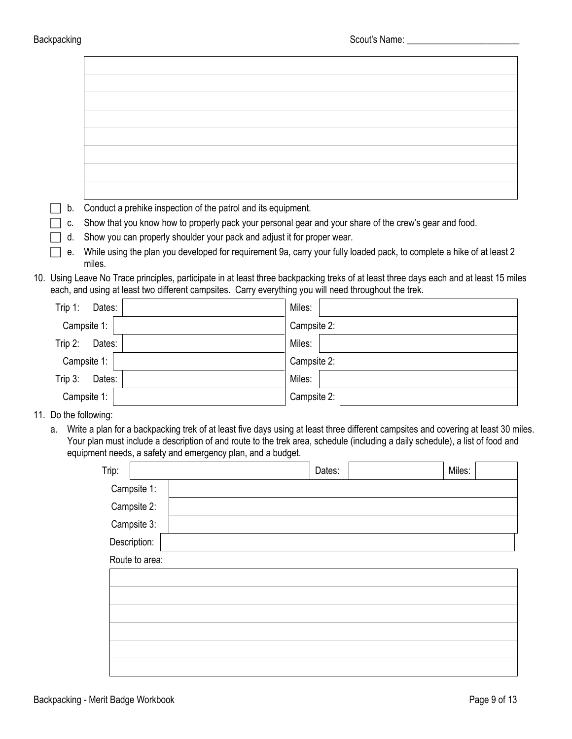$\mathbf{r}$ 

| b.        |             | Conduct a prehike inspection of the patrol and its equipment.                                         |                                                                                                                                        |  |
|-----------|-------------|-------------------------------------------------------------------------------------------------------|----------------------------------------------------------------------------------------------------------------------------------------|--|
| C.        |             |                                                                                                       | Show that you know how to properly pack your personal gear and your share of the crew's gear and food.                                 |  |
| d.        |             | Show you can properly shoulder your pack and adjust it for proper wear.                               |                                                                                                                                        |  |
| е.        |             |                                                                                                       | While using the plan you developed for requirement 9a, carry your fully loaded pack, to complete a hike of at least 2                  |  |
|           | miles.      |                                                                                                       |                                                                                                                                        |  |
|           |             | each, and using at least two different campsites. Carry everything you will need throughout the trek. | 10. Using Leave No Trace principles, participate in at least three backpacking treks of at least three days each and at least 15 miles |  |
|           |             |                                                                                                       |                                                                                                                                        |  |
| Trip $1:$ | Dates:      |                                                                                                       | Miles:                                                                                                                                 |  |
|           | Campsite 1: |                                                                                                       | Campsite 2:                                                                                                                            |  |
| Trip $2:$ | Dates:      |                                                                                                       | Miles:                                                                                                                                 |  |
|           | Campsite 1: |                                                                                                       | Campsite 2:                                                                                                                            |  |

| Trip $3:$<br>Dates:   | Miles:        |  |
|-----------------------|---------------|--|
| Campsite 1:           | Campsite $2:$ |  |
| 11. Do the following: |               |  |

a. Write a plan for a backpacking trek of at least five days using at least three different campsites and covering at least 30 miles. Your plan must include a description of and route to the trek area, schedule (including a daily schedule), a list of food and equipment needs, a safety and emergency plan, and a budget.

| Trip: |                |  | Dates: | Miles: |
|-------|----------------|--|--------|--------|
|       | Campsite 1:    |  |        |        |
|       | Campsite 2:    |  |        |        |
|       | Campsite 3:    |  |        |        |
|       | Description:   |  |        |        |
|       | Route to area: |  |        |        |
|       |                |  |        |        |
|       |                |  |        |        |
|       |                |  |        |        |
|       |                |  |        |        |
|       |                |  |        |        |
|       |                |  |        |        |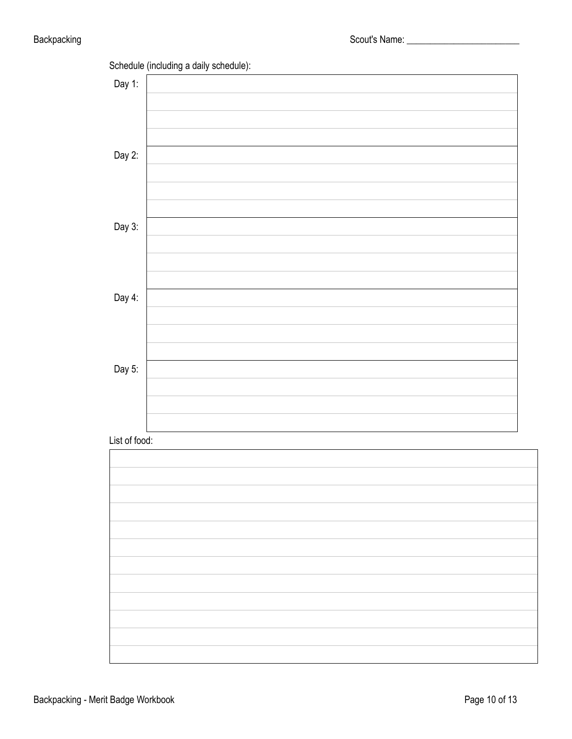

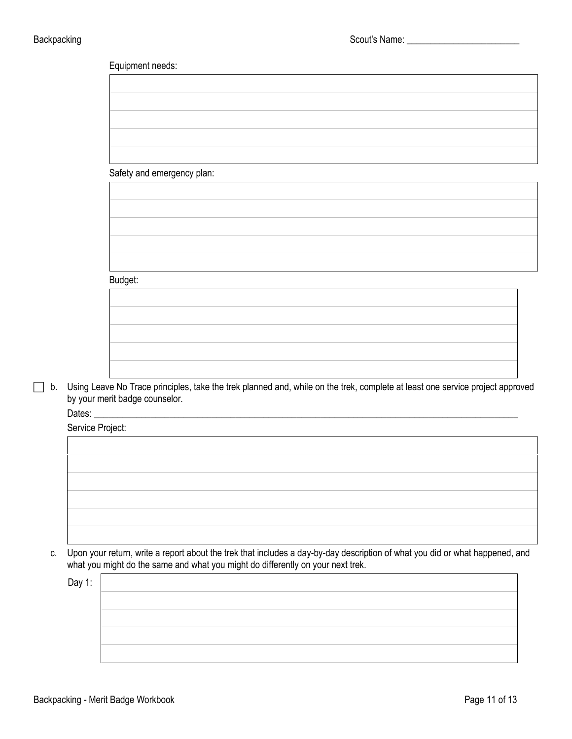| Equipment needs:           |  |  |  |
|----------------------------|--|--|--|
|                            |  |  |  |
|                            |  |  |  |
|                            |  |  |  |
|                            |  |  |  |
|                            |  |  |  |
| Safety and emergency plan: |  |  |  |
|                            |  |  |  |
|                            |  |  |  |
|                            |  |  |  |
|                            |  |  |  |
|                            |  |  |  |
|                            |  |  |  |
| Budget:                    |  |  |  |
|                            |  |  |  |
|                            |  |  |  |
|                            |  |  |  |
|                            |  |  |  |
|                            |  |  |  |

 b. Using Leave No Trace principles, take the trek planned and, while on the trek, complete at least one service project approved by your merit badge counselor.

Dates: \_\_\_\_\_\_\_\_\_\_\_\_\_\_\_\_\_\_\_\_\_\_\_\_\_\_\_\_\_\_\_\_\_\_\_\_\_\_\_\_\_\_\_\_\_\_\_\_\_\_\_\_\_\_\_\_\_\_\_\_\_\_\_\_\_\_\_\_\_\_\_\_\_\_\_\_\_\_\_\_\_\_\_\_\_\_\_\_\_\_

Service Project:

c. Upon your return, write a report about the trek that includes a day-by-day description of what you did or what happened, and what you might do the same and what you might do differently on your next trek.

Day 1: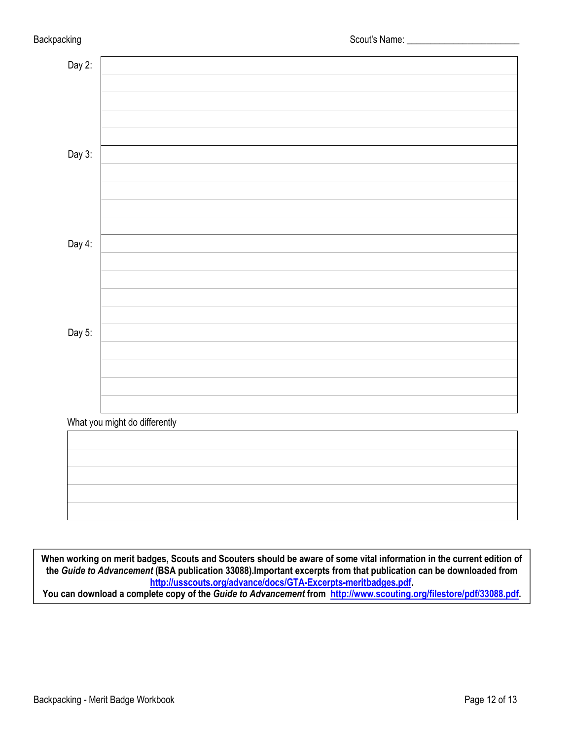| Day $2$ : |                               |
|-----------|-------------------------------|
|           |                               |
|           |                               |
|           |                               |
|           |                               |
| Day 3:    |                               |
|           |                               |
|           |                               |
|           |                               |
|           |                               |
| Day 4:    |                               |
|           |                               |
|           |                               |
|           |                               |
|           |                               |
| Day 5:    |                               |
|           |                               |
|           |                               |
|           |                               |
|           |                               |
|           | What you might do differently |
|           |                               |
|           |                               |
|           |                               |
|           |                               |
|           |                               |

**When working on merit badges, Scouts and Scouters should be aware of some vital information in the current edition of the** *Guide to Advancement* **(BSA publication 33088).Important excerpts from that publication can be downloaded from <http://usscouts.org/advance/docs/GTA-Excerpts-meritbadges.pdf>.** 

**You can download a complete copy of the** *Guide to Advancement* **from [http://www.scouting.org/filestore/pdf/33088.pdf.](http://www.scouting.org/filestore/pdf/33088.pdf)**